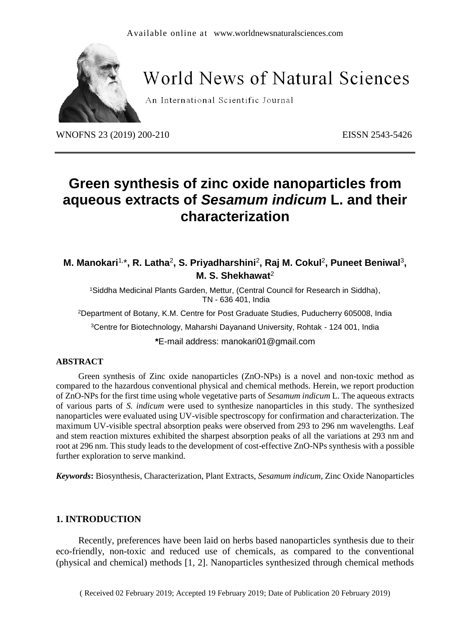

## **World News of Natural Sciences**

An International Scientific Journal

WNOFNS 23 (2019) 200-210<br>
EISSN 2543-5426

### **Green synthesis of zinc oxide nanoparticles from aqueous extracts of** *Sesamum indicum* **L. and their characterization**

M. Manokari<sup>1,\*</sup>, R. Latha<sup>2</sup>, S. Priyadharshini<sup>2</sup>, Raj M. Cokul<sup>2</sup>, Puneet Beniwal<sup>3</sup>, **M. S. Shekhawat**<sup>2</sup>

<sup>1</sup>Siddha Medicinal Plants Garden, Mettur, (Central Council for Research in Siddha), TN - 636 401, India

<sup>2</sup>Department of Botany, K.M. Centre for Post Graduate Studies, Puducherry 605008, India

<sup>3</sup>Centre for Biotechnology, Maharshi Dayanand University, Rohtak - 124 001, India

**\***E-mail address: manokari01@gmail.com

#### **ABSTRACT**

Green synthesis of Zinc oxide nanoparticles (ZnO-NPs) is a novel and non-toxic method as compared to the hazardous conventional physical and chemical methods. Herein, we report production of ZnO-NPs for the first time using whole vegetative parts of *Sesamum indicum* L. The aqueous extracts of various parts of *S. indicum* were used to synthesize nanoparticles in this study. The synthesized nanoparticles were evaluated using UV-visible spectroscopy for confirmation and characterization. The maximum UV-visible spectral absorption peaks were observed from 293 to 296 nm wavelengths. Leaf and stem reaction mixtures exhibited the sharpest absorption peaks of all the variations at 293 nm and root at 296 nm. This study leads to the development of cost-effective ZnO-NPs synthesis with a possible further exploration to serve mankind.

*Keywords***:** Biosynthesis, Characterization, Plant Extracts, *Sesamum indicum*, Zinc Oxide Nanoparticles

#### **1. INTRODUCTION**

Recently, preferences have been laid on herbs based nanoparticles synthesis due to their eco-friendly, non-toxic and reduced use of chemicals, as compared to the conventional (physical and chemical) methods [1, 2]. Nanoparticles synthesized through chemical methods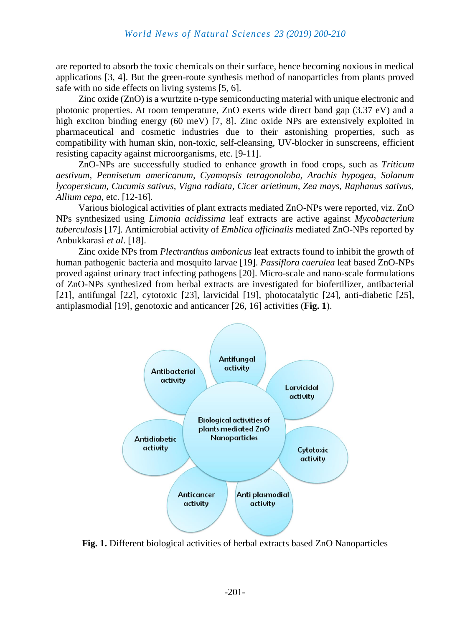are reported to absorb the toxic chemicals on their surface, hence becoming noxious in medical applications [3, 4]. But the green-route synthesis method of nanoparticles from plants proved safe with no side effects on living systems [5, 6].

Zinc oxide (ZnO) is a wurtzite n-type semiconducting material with unique electronic and photonic properties. At room temperature, ZnO exerts wide direct band gap (3.37 eV) and a high exciton binding energy (60 meV) [7, 8]. Zinc oxide NPs are extensively exploited in pharmaceutical and cosmetic industries due to their astonishing properties, such as compatibility with human skin, non-toxic, self-cleansing, UV-blocker in sunscreens, efficient resisting capacity against microorganisms, etc. [9-11].

ZnO-NPs are successfully studied to enhance growth in food crops, such as *Triticum aestivum, Pennisetum americanum, Cyamopsis tetragonoloba, Arachis hypogea, Solanum lycopersicum, Cucumis sativus, Vigna radiata, Cicer arietinum, Zea mays, Raphanus sativus, Allium cepa*, etc. [12-16].

Various biological activities of plant extracts mediated ZnO-NPs were reported, viz. ZnO NPs synthesized using *Limonia acidissima* leaf extracts are active against *Mycobacterium tuberculosis* [17]. Antimicrobial activity of *Emblica officinalis* mediated ZnO-NPs reported by Anbukkarasi *et al*. [18].

Zinc oxide NPs from *Plectranthus ambonicus* leaf extracts found to inhibit the growth of human pathogenic bacteria and mosquito larvae [19]. *Passiflora caerulea* leaf based ZnO-NPs proved against urinary tract infecting pathogens [20]. Micro-scale and nano-scale formulations of ZnO-NPs synthesized from herbal extracts are investigated for biofertilizer, antibacterial [21], antifungal [22], cytotoxic [23], larvicidal [19], photocatalytic [24], anti-diabetic [25], antiplasmodial [19], genotoxic and anticancer [26, 16] activities (**Fig. 1**).



**Fig. 1.** Different biological activities of herbal extracts based ZnO Nanoparticles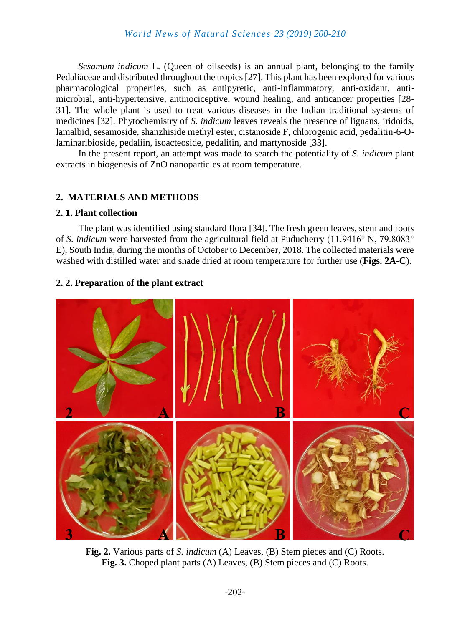*Sesamum indicum* L. (Queen of oilseeds) is an annual plant, belonging to the family Pedaliaceae and distributed throughout the tropics [27]. This plant has been explored for various pharmacological properties, such as antipyretic, anti-inflammatory, anti-oxidant, antimicrobial, anti-hypertensive, antinociceptive, wound healing, and anticancer properties [28- 31]. The whole plant is used to treat various diseases in the Indian traditional systems of medicines [32]. Phytochemistry of *S. indicum* leaves reveals the presence of lignans, iridoids, lamalbid, sesamoside, shanzhiside methyl ester, cistanoside F, chlorogenic acid, pedalitin-6-Olaminaribioside, pedaliin, isoacteoside, pedalitin, and martynoside [33].

In the present report, an attempt was made to search the potentiality of *S. indicum* plant extracts in biogenesis of ZnO nanoparticles at room temperature.

#### **2. MATERIALS AND METHODS**

#### **2. 1. Plant collection**

The plant was identified using standard flora [34]. The fresh green leaves, stem and roots of *S. indicum* were harvested from the agricultural field at Puducherry (11.9416° N, 79.8083° E), South India, during the months of October to December, 2018. The collected materials were washed with distilled water and shade dried at room temperature for further use (**Figs. 2A-C**).

#### **2. 2. Preparation of the plant extract**



**Fig. 2.** Various parts of *S. indicum* (A) Leaves, (B) Stem pieces and (C) Roots. **Fig. 3.** Choped plant parts (A) Leaves, (B) Stem pieces and (C) Roots.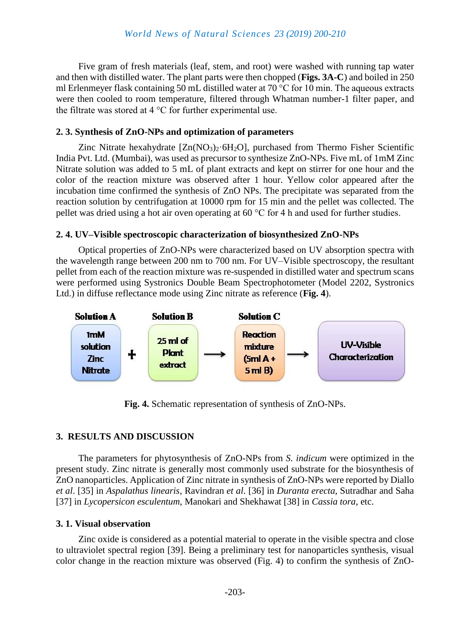Five gram of fresh materials (leaf, stem, and root) were washed with running tap water and then with distilled water. The plant parts were then chopped (**Figs. 3A-C**) and boiled in 250 ml Erlenmeyer flask containing 50 mL distilled water at 70 °C for 10 min. The aqueous extracts were then cooled to room temperature, filtered through Whatman number-1 filter paper, and the filtrate was stored at 4 °C for further experimental use.

#### **2. 3. Synthesis of ZnO-NPs and optimization of parameters**

Zinc Nitrate hexahydrate  $[Zn(NO_3)_2 \cdot 6H_2O]$ , purchased from Thermo Fisher Scientific India Pvt. Ltd. (Mumbai), was used as precursor to synthesize ZnO-NPs. Five mL of 1mM Zinc Nitrate solution was added to 5 mL of plant extracts and kept on stirrer for one hour and the color of the reaction mixture was observed after 1 hour. Yellow color appeared after the incubation time confirmed the synthesis of ZnO NPs. The precipitate was separated from the reaction solution by centrifugation at 10000 rpm for 15 min and the pellet was collected. The pellet was dried using a hot air oven operating at 60 °C for 4 h and used for further studies.

#### **2. 4. UV–Visible spectroscopic characterization of biosynthesized ZnO-NPs**

Optical properties of ZnO-NPs were characterized based on UV absorption spectra with the wavelength range between 200 nm to 700 nm. For UV–Visible spectroscopy, the resultant pellet from each of the reaction mixture was re-suspended in distilled water and spectrum scans were performed using Systronics Double Beam Spectrophotometer (Model 2202, Systronics Ltd.) in diffuse reflectance mode using Zinc nitrate as reference (**Fig. 4**).



**Fig. 4.** Schematic representation of synthesis of ZnO-NPs.

#### **3. RESULTS AND DISCUSSION**

The parameters for phytosynthesis of ZnO-NPs from *S. indicum* were optimized in the present study. Zinc nitrate is generally most commonly used substrate for the biosynthesis of ZnO nanoparticles. Application of Zinc nitrate in synthesis of ZnO-NPs were reported by Diallo *et al*. [35] in *Aspalathus linearis*, Ravindran *et al*. [36] in *Duranta erecta*, Sutradhar and Saha [37] in *Lycopersicon esculentum*, Manokari and Shekhawat [38] in *Cassia tora*, etc.

#### **3. 1. Visual observation**

Zinc oxide is considered as a potential material to operate in the visible spectra and close to ultraviolet spectral region [39]. Being a preliminary test for nanoparticles synthesis, visual color change in the reaction mixture was observed (Fig. 4) to confirm the synthesis of ZnO-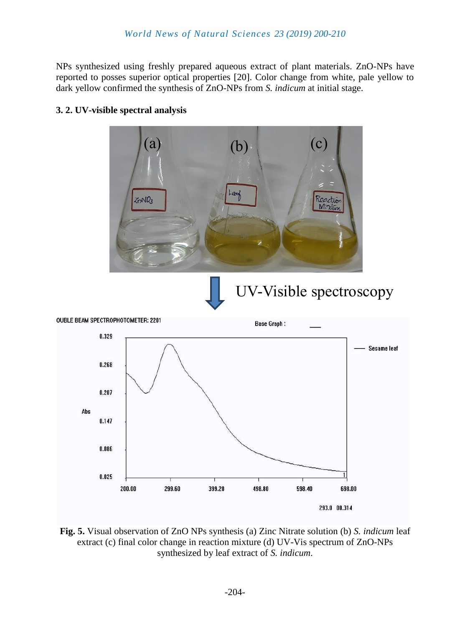NPs synthesized using freshly prepared aqueous extract of plant materials. ZnO-NPs have reported to posses superior optical properties [20]. Color change from white, pale yellow to dark yellow confirmed the synthesis of ZnO-NPs from *S. indicum* at initial stage.



#### **3. 2. UV-visible spectral analysis**

**Fig. 5.** Visual observation of ZnO NPs synthesis (a) Zinc Nitrate solution (b) *S. indicum* leaf extract (c) final color change in reaction mixture (d) UV-Vis spectrum of ZnO-NPs synthesized by leaf extract of *S. indicum*.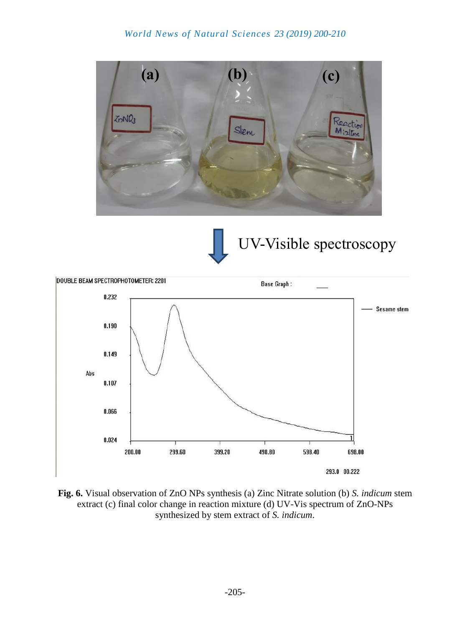#### *World News of Natural Sciences 23 (2019) 200-210*





# UV-Visible spectroscopy



**Fig. 6.** Visual observation of ZnO NPs synthesis (a) Zinc Nitrate solution (b) *S. indicum* stem extract (c) final color change in reaction mixture (d) UV-Vis spectrum of ZnO-NPs synthesized by stem extract of *S. indicum*.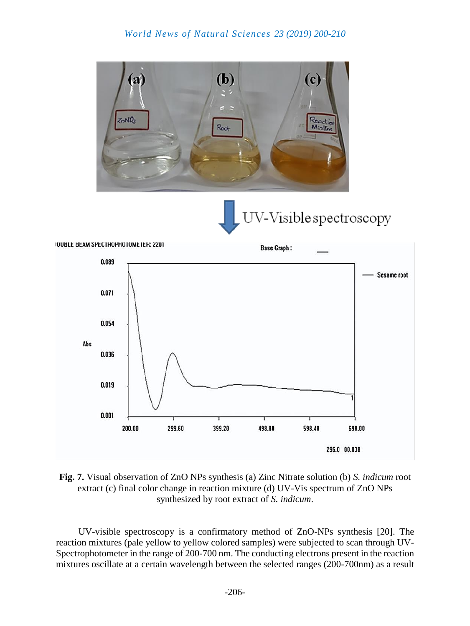





**Fig. 7.** Visual observation of ZnO NPs synthesis (a) Zinc Nitrate solution (b) *S. indicum* root extract (c) final color change in reaction mixture (d) UV-Vis spectrum of ZnO NPs synthesized by root extract of *S. indicum*.

UV-visible spectroscopy is a confirmatory method of ZnO-NPs synthesis [20]. The reaction mixtures (pale yellow to yellow colored samples) were subjected to scan through UV-Spectrophotometer in the range of 200-700 nm. The conducting electrons present in the reaction mixtures oscillate at a certain wavelength between the selected ranges (200-700nm) as a result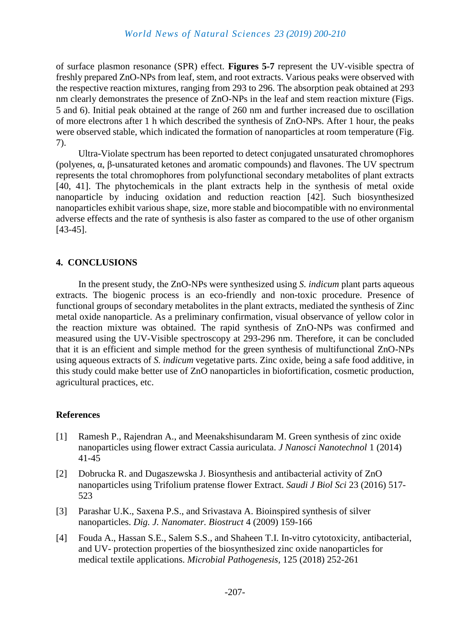of surface plasmon resonance (SPR) effect. **Figures 5-7** represent the UV-visible spectra of freshly prepared ZnO-NPs from leaf, stem, and root extracts. Various peaks were observed with the respective reaction mixtures, ranging from 293 to 296. The absorption peak obtained at 293 nm clearly demonstrates the presence of ZnO-NPs in the leaf and stem reaction mixture (Figs. 5 and 6). Initial peak obtained at the range of 260 nm and further increased due to oscillation of more electrons after 1 h which described the synthesis of ZnO-NPs. After 1 hour, the peaks were observed stable, which indicated the formation of nanoparticles at room temperature (Fig. 7).

Ultra-Violate spectrum has been reported to detect conjugated unsaturated chromophores (polyenes, α, β-unsaturated ketones and aromatic compounds) and flavones. The UV spectrum represents the total chromophores from polyfunctional secondary metabolites of plant extracts [40, 41]. The phytochemicals in the plant extracts help in the synthesis of metal oxide nanoparticle by inducing oxidation and reduction reaction [42]. Such biosynthesized nanoparticles exhibit various shape, size, more stable and biocompatible with no environmental adverse effects and the rate of synthesis is also faster as compared to the use of other organism [43-45].

#### **4. CONCLUSIONS**

In the present study, the ZnO-NPs were synthesized using *S. indicum* plant parts aqueous extracts. The biogenic process is an eco-friendly and non-toxic procedure. Presence of functional groups of secondary metabolites in the plant extracts, mediated the synthesis of Zinc metal oxide nanoparticle. As a preliminary confirmation, visual observance of yellow color in the reaction mixture was obtained. The rapid synthesis of ZnO-NPs was confirmed and measured using the UV-Visible spectroscopy at 293-296 nm. Therefore, it can be concluded that it is an efficient and simple method for the green synthesis of multifunctional ZnO-NPs using aqueous extracts of *S. indicum* vegetative parts. Zinc oxide, being a safe food additive, in this study could make better use of ZnO nanoparticles in biofortification, cosmetic production, agricultural practices, etc.

#### **References**

- [1] Ramesh P., Rajendran A., and Meenakshisundaram M. Green synthesis of zinc oxide nanoparticles using flower extract Cassia auriculata. *J Nanosci Nanotechnol* 1 (2014) 41-45
- [2] Dobrucka R. and Dugaszewska J. Biosynthesis and antibacterial activity of ZnO nanoparticles using Trifolium pratense flower Extract. *Saudi J Biol Sci* 23 (2016) 517- 523
- [3] Parashar U.K., Saxena P.S., and Srivastava A. Bioinspired synthesis of silver nanoparticles. *Dig. J. Nanomater. Biostruct* 4 (2009) 159-166
- [4] Fouda A., Hassan S.E., Salem S.S., and Shaheen T.I. In-vitro cytotoxicity, antibacterial, and UV- protection properties of the biosynthesized zinc oxide nanoparticles for medical textile applications. *Microbial Pathogenesis,* 125 (2018) 252-261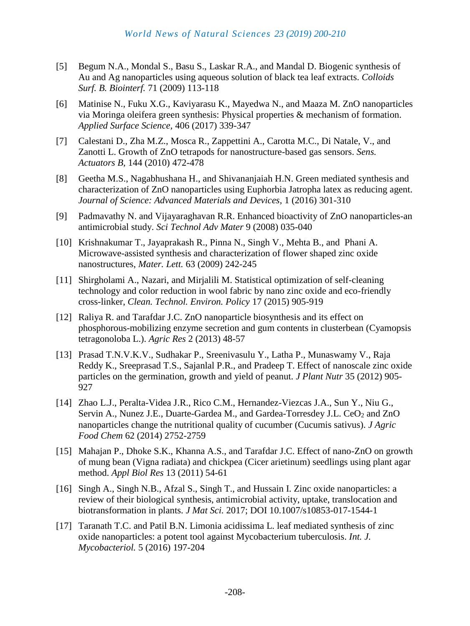- [5] Begum N.A., Mondal S., Basu S., Laskar R.A., and Mandal D. Biogenic synthesis of Au and Ag nanoparticles using aqueous solution of black tea leaf extracts. *Colloids Surf. B. Biointerf.* 71 (2009) 113-118
- [6] Matinise N., Fuku X.G., Kaviyarasu K., Mayedwa N., and Maaza M. ZnO nanoparticles via Moringa oleifera green synthesis: Physical properties & mechanism of formation. *Applied Surface Science,* 406 (2017) 339-347
- [7] Calestani D., Zha M.Z., Mosca R., Zappettini A., Carotta M.C., Di Natale, V., and Zanotti L. Growth of ZnO tetrapods for nanostructure-based gas sensors. *Sens. Actuators B,* 144 (2010) 472-478
- [8] Geetha M.S., Nagabhushana H., and Shivananjaiah H.N. Green mediated synthesis and characterization of ZnO nanoparticles using Euphorbia Jatropha latex as reducing agent. *Journal of Science: Advanced Materials and Devices,* 1 (2016) 301-310
- [9] Padmavathy N. and Vijayaraghavan R.R. Enhanced bioactivity of ZnO nanoparticles-an antimicrobial study. *Sci Technol Adv Mater* 9 (2008) 035-040
- [10] Krishnakumar T., Jayaprakash R., Pinna N., Singh V., Mehta B., and Phani A. Microwave-assisted synthesis and characterization of flower shaped zinc oxide nanostructures, *Mater. Lett.* 63 (2009) 242-245
- [11] Shirgholami A., Nazari, and Mirjalili M. Statistical optimization of self-cleaning technology and color reduction in wool fabric by nano zinc oxide and eco-friendly cross-linker, *Clean. Technol. Environ. Policy* 17 (2015) 905-919
- [12] Raliya R. and Tarafdar J.C. ZnO nanoparticle biosynthesis and its effect on phosphorous-mobilizing enzyme secretion and gum contents in clusterbean (Cyamopsis tetragonoloba L.). *Agric Res* 2 (2013) 48-57
- [13] Prasad T.N.V.K.V., Sudhakar P., Sreenivasulu Y., Latha P., Munaswamy V., Raja Reddy K., Sreeprasad T.S., Sajanlal P.R., and Pradeep T. Effect of nanoscale zinc oxide particles on the germination, growth and yield of peanut. *J Plant Nutr* 35 (2012) 905- 927
- [14] Zhao L.J., Peralta-Videa J.R., Rico C.M., Hernandez-Viezcas J.A., Sun Y., Niu G., Servin A., Nunez J.E., Duarte-Gardea M., and Gardea-Torresdey J.L. CeO<sub>2</sub> and ZnO nanoparticles change the nutritional quality of cucumber (Cucumis sativus). *J Agric Food Chem* 62 (2014) 2752-2759
- [15] Mahajan P., Dhoke S.K., Khanna A.S., and Tarafdar J.C. Effect of nano-ZnO on growth of mung bean (Vigna radiata) and chickpea (Cicer arietinum) seedlings using plant agar method. *Appl Biol Res* 13 (2011) 54-61
- [16] Singh A., Singh N.B., Afzal S., Singh T., and Hussain I. Zinc oxide nanoparticles: a review of their biological synthesis, antimicrobial activity, uptake, translocation and biotransformation in plants. *J Mat Sci.* 2017; DOI 10.1007/s10853-017-1544-1
- [17] Taranath T.C. and Patil B.N. Limonia acidissima L. leaf mediated synthesis of zinc oxide nanoparticles: a potent tool against Mycobacterium tuberculosis. *Int. J. Mycobacteriol.* 5 (2016) 197-204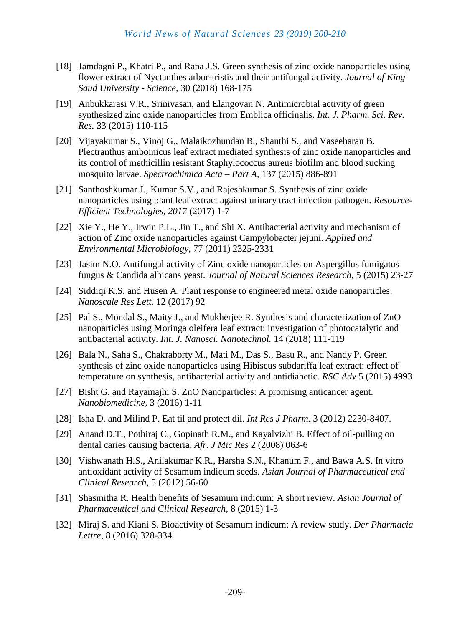- [18] Jamdagni P., Khatri P., and Rana J.S. Green synthesis of zinc oxide nanoparticles using flower extract of Nyctanthes arbor-tristis and their antifungal activity. *Journal of King Saud University - Science,* 30 (2018) 168-175
- [19] Anbukkarasi V.R., Srinivasan, and Elangovan N. Antimicrobial activity of green synthesized zinc oxide nanoparticles from Emblica officinalis. *Int. J. Pharm. Sci. Rev. Res.* 33 (2015) 110-115
- [20] Vijayakumar S., Vinoj G., Malaikozhundan B., Shanthi S., and Vaseeharan B. Plectranthus amboinicus leaf extract mediated synthesis of zinc oxide nanoparticles and its control of methicillin resistant Staphylococcus aureus biofilm and blood sucking mosquito larvae. *Spectrochimica Acta – Part A,* 137 (2015) 886-891
- [21] Santhoshkumar J., Kumar S.V., and Rajeshkumar S. Synthesis of zinc oxide nanoparticles using plant leaf extract against urinary tract infection pathogen. *Resource-Efficient Technologies, 2017* (2017) 1-7
- [22] Xie Y., He Y., Irwin P.L., Jin T., and Shi X. Antibacterial activity and mechanism of action of Zinc oxide nanoparticles against Campylobacter jejuni. *Applied and Environmental Microbiology,* 77 (2011) 2325-2331
- [23] Jasim N.O. Antifungal activity of Zinc oxide nanoparticles on Aspergillus fumigatus fungus & Candida albicans yeast. *Journal of Natural Sciences Research,* 5 (2015) 23-27
- [24] Siddiqi K.S. and Husen A. Plant response to engineered metal oxide nanoparticles. *Nanoscale Res Lett.* 12 (2017) 92
- [25] Pal S., Mondal S., Maity J., and Mukherjee R. Synthesis and characterization of ZnO nanoparticles using Moringa oleifera leaf extract: investigation of photocatalytic and antibacterial activity. *Int. J. Nanosci. Nanotechnol.* 14 (2018) 111-119
- [26] Bala N., Saha S., Chakraborty M., Mati M., Das S., Basu R., and Nandy P. Green synthesis of zinc oxide nanoparticles using Hibiscus subdariffa leaf extract: effect of temperature on synthesis, antibacterial activity and antidiabetic. *RSC Adv* 5 (2015) 4993
- [27] Bisht G. and Rayamajhi S. ZnO Nanoparticles: A promising anticancer agent. *Nanobiomedicine,* 3 (2016) 1-11
- [28] Isha D. and Milind P. Eat til and protect dil. *Int Res J Pharm.* 3 (2012) 2230-8407.
- [29] Anand D.T., Pothiraj C., Gopinath R.M., and Kayalvizhi B. Effect of oil-pulling on dental caries causing bacteria. *Afr. J Mic Res* 2 (2008) 063-6
- [30] Vishwanath H.S., Anilakumar K.R., Harsha S.N., Khanum F., and Bawa A.S. In vitro antioxidant activity of Sesamum indicum seeds. *Asian Journal of Pharmaceutical and Clinical Research,* 5 (2012) 56-60
- [31] Shasmitha R. Health benefits of Sesamum indicum: A short review. *Asian Journal of Pharmaceutical and Clinical Research,* 8 (2015) 1-3
- [32] Miraj S. and Kiani S. Bioactivity of Sesamum indicum: A review study. *Der Pharmacia Lettre*, 8 (2016) 328-334